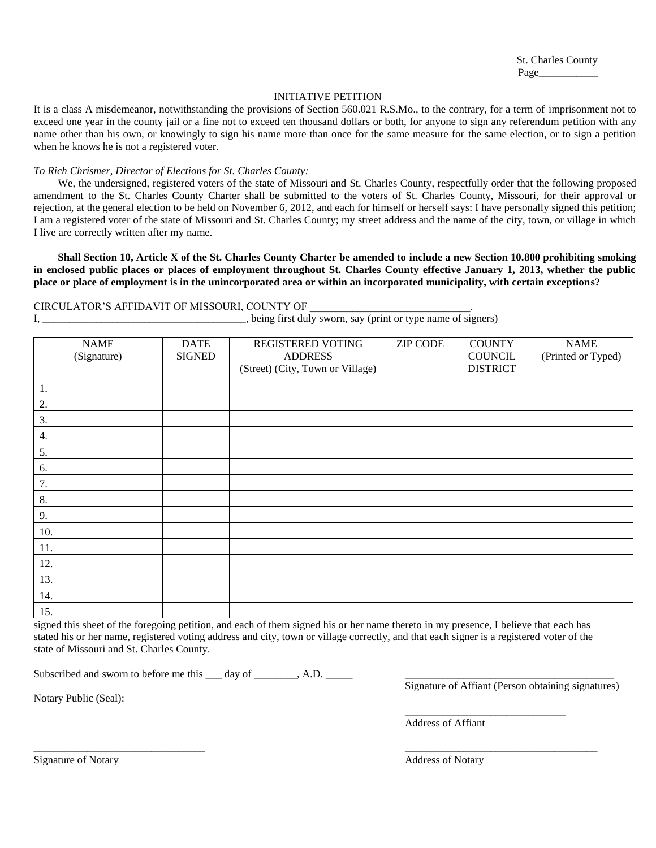St. Charles County Page\_\_\_\_\_\_\_\_\_\_\_

## INITIATIVE PETITION

It is a class A misdemeanor, notwithstanding the provisions of Section 560.021 R.S.Mo., to the contrary, for a term of imprisonment not to exceed one year in the county jail or a fine not to exceed ten thousand dollars or both, for anyone to sign any referendum petition with any name other than his own, or knowingly to sign his name more than once for the same measure for the same election, or to sign a petition when he knows he is not a registered voter.

## *To Rich Chrismer, Director of Elections for St. Charles County:*

We, the undersigned, registered voters of the state of Missouri and St. Charles County, respectfully order that the following proposed amendment to the St. Charles County Charter shall be submitted to the voters of St. Charles County, Missouri, for their approval or rejection, at the general election to be held on November 6, 2012, and each for himself or herself says: I have personally signed this petition; I am a registered voter of the state of Missouri and St. Charles County; my street address and the name of the city, town, or village in which I live are correctly written after my name.

**Shall Section 10, Article X of the St. Charles County Charter be amended to include a new Section 10.800 prohibiting smoking in enclosed public places or places of employment throughout St. Charles County effective January 1, 2013, whether the public place or place of employment is in the unincorporated area or within an incorporated municipality, with certain exceptions?** 

## CIRCULATOR'S AFFIDAVIT OF MISSOURI, COUNTY OF \_\_\_\_\_\_\_\_\_\_\_\_\_\_\_\_\_\_\_\_\_\_\_\_\_\_\_\_\_\_.

|  |  |  |  |  |  |  |  |  |  | being first duly sworn, say (print or type name of signers) |  |
|--|--|--|--|--|--|--|--|--|--|-------------------------------------------------------------|--|
|--|--|--|--|--|--|--|--|--|--|-------------------------------------------------------------|--|

| <b>NAME</b><br>(Signature) | <b>DATE</b><br><b>SIGNED</b> | REGISTERED VOTING<br><b>ADDRESS</b><br>(Street) (City, Town or Village) | <b>ZIP CODE</b> | <b>COUNTY</b><br><b>COUNCIL</b><br><b>DISTRICT</b> | <b>NAME</b><br>(Printed or Typed) |
|----------------------------|------------------------------|-------------------------------------------------------------------------|-----------------|----------------------------------------------------|-----------------------------------|
| 1.                         |                              |                                                                         |                 |                                                    |                                   |
| 2.                         |                              |                                                                         |                 |                                                    |                                   |
| 3.                         |                              |                                                                         |                 |                                                    |                                   |
| 4.                         |                              |                                                                         |                 |                                                    |                                   |
| 5.                         |                              |                                                                         |                 |                                                    |                                   |
| 6.                         |                              |                                                                         |                 |                                                    |                                   |
| 7.                         |                              |                                                                         |                 |                                                    |                                   |
| 8.                         |                              |                                                                         |                 |                                                    |                                   |
| 9.                         |                              |                                                                         |                 |                                                    |                                   |
| 10.                        |                              |                                                                         |                 |                                                    |                                   |
| 11.                        |                              |                                                                         |                 |                                                    |                                   |
| 12.                        |                              |                                                                         |                 |                                                    |                                   |
| 13.                        |                              |                                                                         |                 |                                                    |                                   |
| 14.                        |                              |                                                                         |                 |                                                    |                                   |
| 15.                        |                              |                                                                         |                 |                                                    |                                   |

signed this sheet of the foregoing petition, and each of them signed his or her name thereto in my presence, I believe that each has stated his or her name, registered voting address and city, town or village correctly, and that each signer is a registered voter of the state of Missouri and St. Charles County.

\_\_\_\_\_\_\_\_\_\_\_\_\_\_\_\_\_\_\_\_\_\_\_\_\_\_\_\_\_\_\_\_ \_\_\_\_\_\_\_\_\_\_\_\_\_\_\_\_\_\_\_\_\_\_\_\_\_\_\_\_\_\_\_\_\_\_\_\_

Subscribed and sworn to before me this \_\_\_ day of \_\_\_\_\_\_\_, A.D.

Notary Public (Seal):

Signature of Affiant (Person obtaining signatures)

\_\_\_\_\_\_\_\_\_\_\_\_\_\_\_\_\_\_\_\_\_\_\_\_\_\_\_\_\_\_

Address of Affiant

Signature of Notary Address of Notary Address of Notary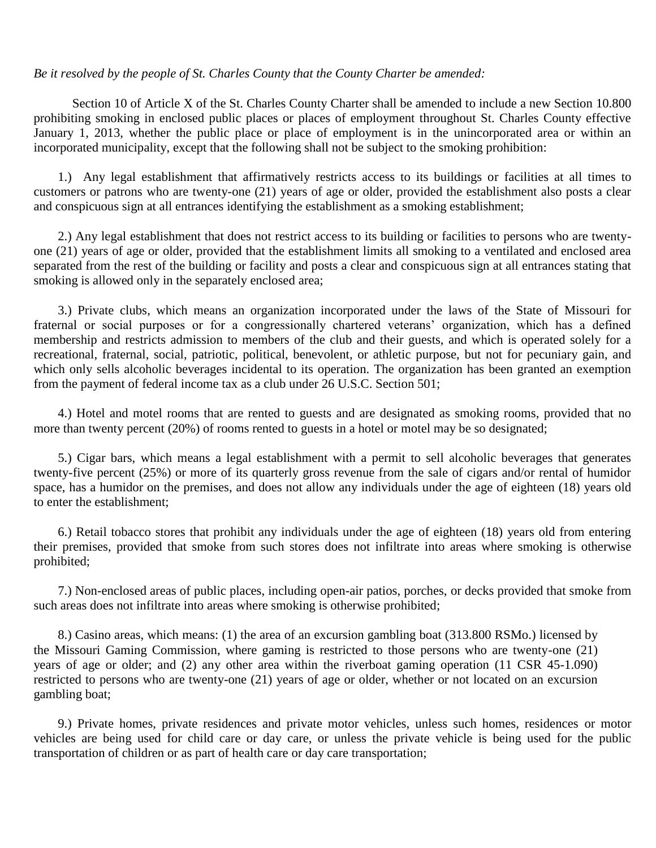## *Be it resolved by the people of St. Charles County that the County Charter be amended:*

Section 10 of Article X of the St. Charles County Charter shall be amended to include a new Section 10.800 prohibiting smoking in enclosed public places or places of employment throughout St. Charles County effective January 1, 2013, whether the public place or place of employment is in the unincorporated area or within an incorporated municipality, except that the following shall not be subject to the smoking prohibition:

1.) Any legal establishment that affirmatively restricts access to its buildings or facilities at all times to customers or patrons who are twenty-one (21) years of age or older, provided the establishment also posts a clear and conspicuous sign at all entrances identifying the establishment as a smoking establishment;

2.) Any legal establishment that does not restrict access to its building or facilities to persons who are twentyone (21) years of age or older, provided that the establishment limits all smoking to a ventilated and enclosed area separated from the rest of the building or facility and posts a clear and conspicuous sign at all entrances stating that smoking is allowed only in the separately enclosed area;

3.) Private clubs, which means an organization incorporated under the laws of the State of Missouri for fraternal or social purposes or for a congressionally chartered veterans' organization, which has a defined membership and restricts admission to members of the club and their guests, and which is operated solely for a recreational, fraternal, social, patriotic, political, benevolent, or athletic purpose, but not for pecuniary gain, and which only sells alcoholic beverages incidental to its operation. The organization has been granted an exemption from the payment of federal income tax as a club under 26 U.S.C. Section 501;

4.) Hotel and motel rooms that are rented to guests and are designated as smoking rooms, provided that no more than twenty percent (20%) of rooms rented to guests in a hotel or motel may be so designated;

5.) Cigar bars, which means a legal establishment with a permit to sell alcoholic beverages that generates twenty-five percent (25%) or more of its quarterly gross revenue from the sale of cigars and/or rental of humidor space, has a humidor on the premises, and does not allow any individuals under the age of eighteen (18) years old to enter the establishment;

6.) Retail tobacco stores that prohibit any individuals under the age of eighteen (18) years old from entering their premises, provided that smoke from such stores does not infiltrate into areas where smoking is otherwise prohibited;

7.) Non-enclosed areas of public places, including open-air patios, porches, or decks provided that smoke from such areas does not infiltrate into areas where smoking is otherwise prohibited;

8.) Casino areas, which means: (1) the area of an excursion gambling boat (313.800 RSMo.) licensed by the Missouri Gaming Commission, where gaming is restricted to those persons who are twenty-one (21) years of age or older; and (2) any other area within the riverboat gaming operation (11 CSR 45-1.090) restricted to persons who are twenty-one (21) years of age or older, whether or not located on an excursion gambling boat;

9.) Private homes, private residences and private motor vehicles, unless such homes, residences or motor vehicles are being used for child care or day care, or unless the private vehicle is being used for the public transportation of children or as part of health care or day care transportation;